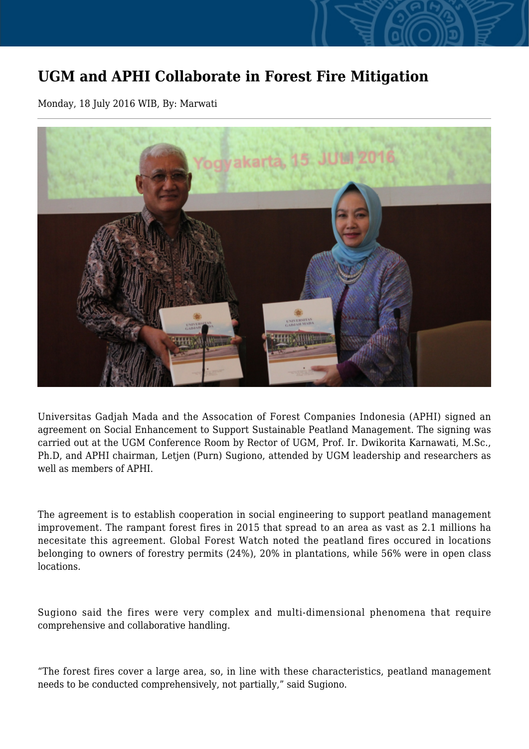## **UGM and APHI Collaborate in Forest Fire Mitigation**

Monday, 18 July 2016 WIB, By: Marwati



Universitas Gadjah Mada and the Assocation of Forest Companies Indonesia (APHI) signed an agreement on Social Enhancement to Support Sustainable Peatland Management. The signing was carried out at the UGM Conference Room by Rector of UGM, Prof. Ir. Dwikorita Karnawati, M.Sc., Ph.D, and APHI chairman, Letjen (Purn) Sugiono, attended by UGM leadership and researchers as well as members of APHI.

The agreement is to establish cooperation in social engineering to support peatland management improvement. The rampant forest fires in 2015 that spread to an area as vast as 2.1 millions ha necesitate this agreement. Global Forest Watch noted the peatland fires occured in locations belonging to owners of forestry permits (24%), 20% in plantations, while 56% were in open class locations.

Sugiono said the fires were very complex and multi-dimensional phenomena that require comprehensive and collaborative handling.

"The forest fires cover a large area, so, in line with these characteristics, peatland management needs to be conducted comprehensively, not partially," said Sugiono.